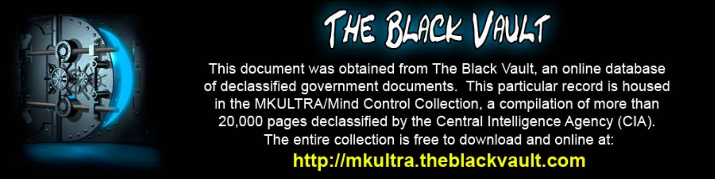

This document was obtained from The Black Vault, an online database of declassified government documents. This particular record is housed in the MKULTRA/Mind Control Collection, a compilation of more than 20,000 pages declassified by the Central Intelligence Agency (CIA). The entire collection is free to download and online at: http://mkultra.theblackvault.com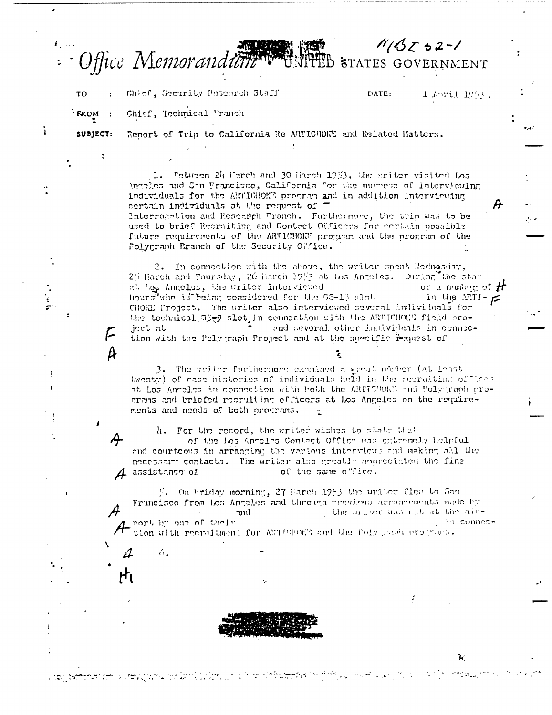$M/6Z$  52-1  $\ell$ , ... - Office Memorandit **TED STATES GOVERNMENT** 

Chief, Security Pesearch Staff **TO** 

DATE:

Chief, Technical Tranch · RROM :

6.

المراكبات والمستحدث والمواطئ والمتعلق والأساد المستقيد والمتكافئ والمواطئات والتواطئ والمتواطئ والمعامل والمعارض والمعار

Ω

SUBJECT:

L

 $\mathbf{\hat{a}}$ 

Report of Trip to California Re ARTICHORE and Related Hatters.

1. Petween 24 Unreh and 30 Haroh 1953, the writer visited Los Angeles and San Francisco, California for the numbers of interviewing individuals for the ARTICHOKE program and in addition interviewing certain individuals at the request of " Interrogation and Eesearch Pranch. Furthermore, the trip was to be used to brief Recruiting and Contact Officers for certain possible future requirements of the ARTICHOKE program and the program of the Polygraph Branch of the Security Office.

2. In connection with the above, the writer soen' Mednasday. 25 Harch and Thursday, 26 Harch 1953 at Los Angeles. During the star or a number of  $H$ at Los Angeles, the uriter interviewed in the NIIhours who is being considered for the GS-13 slot. CHOKE Project. The writer also interviewed several individuals for the technical GS-9 slot in connection with the ARTICHORE field proand several other individuals in connecject at tion with the Polygraph Project and at the specific request of

3. The uritor furthermore excutined a sreat minior (at least twenty) of case histories of individuals held in the recruiting offices at Los Angeles in connection with both the ARTICHORE and Polygraph programs and briefed recruiting officers at Los Angeles on the requirements and needs of both programs.  $\mathbb{R}^2$ 

h. For the record, the writer wishes to state that of the los Angeles Contact Office was extremely helpful and courteous in arranging the various interviews and making all the necessary contacts. The writer also greatly appreciated the fine of the same office.  $\boldsymbol{\mathcal{A}}$  assistance of

5. On Friday morning, 27 Harch 1953 the uriter flew to San Francisco from Los Angeles and through previous arrangements made by the uniter was mat at the air-างาป mort by our of their  $\frac{1}{2}$ n connection with recruitment for ANTICHONY and the Polygraph programs.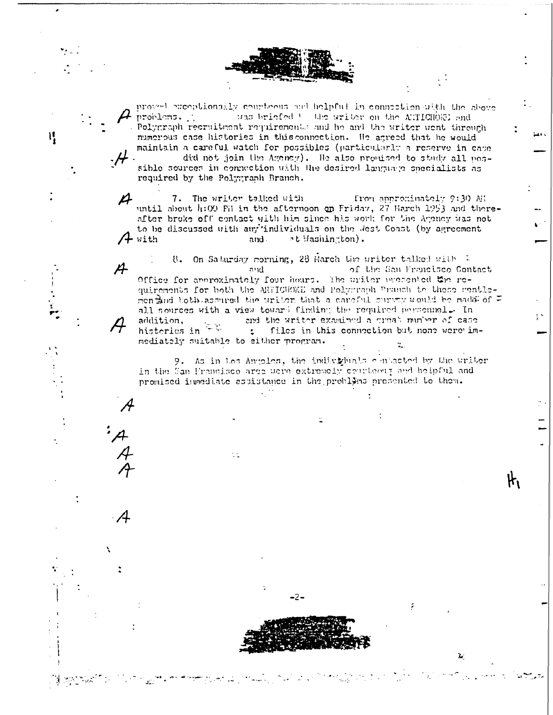proved preoplionally courteous and helpful in connection with the shore problems. uns briefed ) Use writer on the ANTICHORE and Polygraph recruitment requirements and he and the writer went through numerous case histories in this connection. He agreed that he would maintain a careful watch for possibles (particularly a reserve in case did not join the Agency). He also promised to study all possible sources in connection with the desired language specialists as required by the Polygraph Branch.

 $\mathbf{H}$ 

 $\cancel{A}$ 

 $\mathcal A$ 

 $\boldsymbol{\mathcal{L}}$ 7. The writer talked with from approximately 9:30 Af until about h:00 Fil in the afternoon on Friday, 27 Harch 1953 and thereafter broke off contact with him since his work for the Agency was not to be discussed with any individuals on the Jest Coast (by agreement  $4$  with and.  $\rightarrow$  t Mashington).

8. On Saturday morning, 28 Harch the uriter talked with I of the San Francisco Contact and Office for approximately four hours. The uniter presented the requirements for both the ANTICHOKE and Polygraph Pranch to these gentlemen End both assured the writer that a careful survey would be maddle of  $\mp$ all sources with a view toward finding the required personnel. In and the writer examined a great number of case addition, histories in  $\mathbb{R}^{\mathbb{Z}}$ files in this connection but none were im- $\mathbf{L}$ mediately suitable to either program.  $\mathbb{Z}_2$ 

9. As in Los Angeles, the individuals contacted by the writer in the Can Francisco area were extremely courteous and heipful and promised inmediate assistance in the problems presented to them.

 $\mathfrak{h}_1$ 



 $-2-$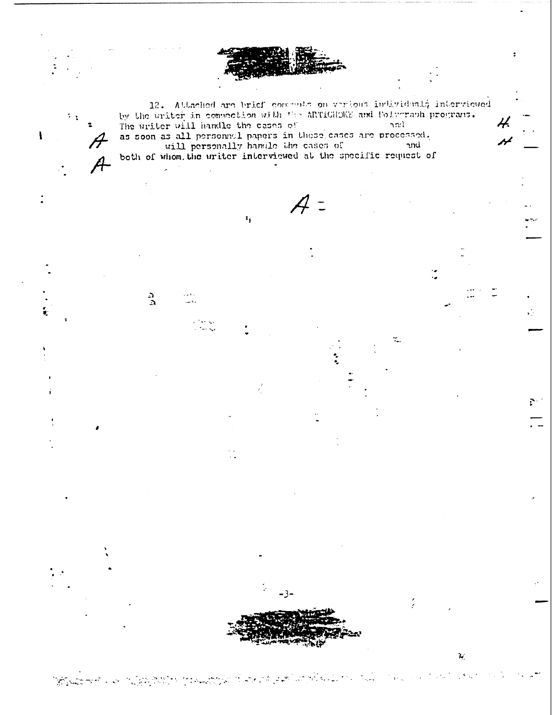12. Attached are brief commute on verious individuals interviewed by the writer in convection with the ARTIGHONE and Polymaph programs. The writer will handle the cases of and as soon as all personnel papers in these cases are processed, will personally handle the cases of and both of whom the writer interviewed at the specific request of  $\ddot{\cdot}$ رد<br>د

າງ ພະຈຳ ຫຼື ລະຫະໂບຫຼາຍໃຈມີປະ

وأوضحهم ومن المواردين ووي المناسبة

ing pagpat ang

 $\mathbf{r} \in \mathbb{R}^d$ 

 $\mathbf{I}$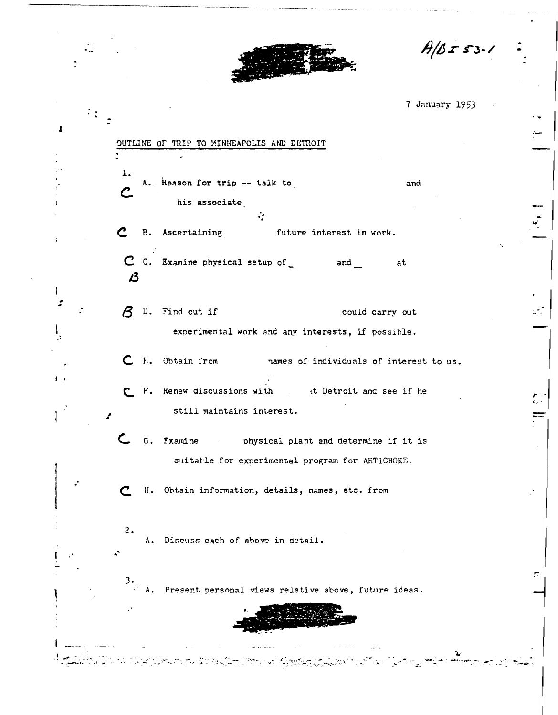$\ddot{\cdot}$ 

 $\mathbf{I}$ 

 $\mathbf{I}$  $\ddot{\cdot}$ 

 $A/8553 - 1$ 

 $\ddot{\phantom{a}}$ 

 $\sum_{i=1}^{n}$ 

تبوير

È.

 $\pi$ 

ا میں بار<br>مالیات

iyo et Air

۰,

7 January 1953

|              |                             | OUTLINE OF TRIP TO MINHEAPOLIS AND DETROIT                                                           |
|--------------|-----------------------------|------------------------------------------------------------------------------------------------------|
|              | ı.<br>$\mathcal C$          | A. Reason for trip -- talk to<br>and<br>his associate<br>÷                                           |
|              |                             | <b>B.</b> Ascertaining<br>future interest in work.                                                   |
|              | $\mathcal{L}$               | C C. Examine physical setup of<br>and<br>at                                                          |
|              | $\mathcal B$<br>$\n  D$ .   | Find out if<br>could carry out                                                                       |
|              |                             | experimental work and any interests, if possible.                                                    |
|              |                             | $C$ F. Obtain from mames of individuals of interest to us.                                           |
| $\mathbf{F}$ |                             | F. Renew discussions with the betroit and see if he<br>still maintains interest.                     |
| i            | C                           | G. Examine bhysical plant and determine if it is<br>suitable for experimental program for ARTICHOKE. |
|              | $\mathcal{C}_{\mathcal{C}}$ | H. Obtain information, details, names, etc. from                                                     |
|              | 2.                          | A. Discuss each of above in detail.                                                                  |
|              | 3.                          | A. Present personal views relative above, future ideas.                                              |
|              |                             |                                                                                                      |
|              |                             |                                                                                                      |